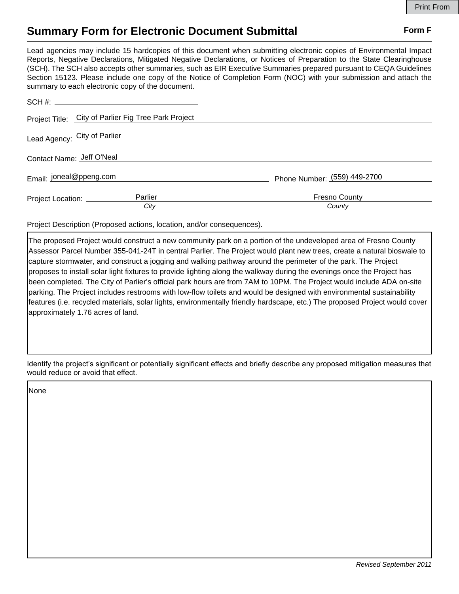## **Summary Form for Electronic Document Submittal Form F Form F**

Lead agencies may include 15 hardcopies of this document when submitting electronic copies of Environmental Impact Reports, Negative Declarations, Mitigated Negative Declarations, or Notices of Preparation to the State Clearinghouse (SCH). The SCH also accepts other summaries, such as EIR Executive Summaries prepared pursuant to CEQA Guidelines Section 15123. Please include one copy of the Notice of Completion Form (NOC) with your submission and attach the summary to each electronic copy of the document.

|                           | Project Title: City of Parlier Fig Tree Park Project |                                |
|---------------------------|------------------------------------------------------|--------------------------------|
|                           | Lead Agency: City of Parlier                         |                                |
| Contact Name: Jeff O'Neal |                                                      |                                |
| Email: joneal@ppeng.com   |                                                      | Phone Number: (559) 449-2700   |
|                           | Parlier<br>Project Location: __________<br>City      | <b>Fresno County</b><br>County |

Project Description (Proposed actions, location, and/or consequences).

The proposed Project would construct a new community park on a portion of the undeveloped area of Fresno County Assessor Parcel Number 355-041-24T in central Parlier. The Project would plant new trees, create a natural bioswale to capture stormwater, and construct a jogging and walking pathway around the perimeter of the park. The Project proposes to install solar light fixtures to provide lighting along the walkway during the evenings once the Project has been completed. The City of Parlier's official park hours are from 7AM to 10PM. The Project would include ADA on-site parking. The Project includes restrooms with low-flow toilets and would be designed with environmental sustainability features (i.e. recycled materials, solar lights, environmentally friendly hardscape, etc.) The proposed Project would cover approximately 1.76 acres of land.

Identify the project's significant or potentially significant effects and briefly describe any proposed mitigation measures that would reduce or avoid that effect.

None